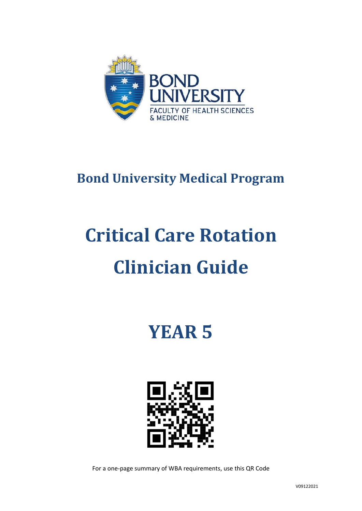

# **Bond University Medical Program**

# **Critical Care Rotation Clinician Guide**

**YEAR 5**



For a one-page summary of WBA requirements, use this QR Code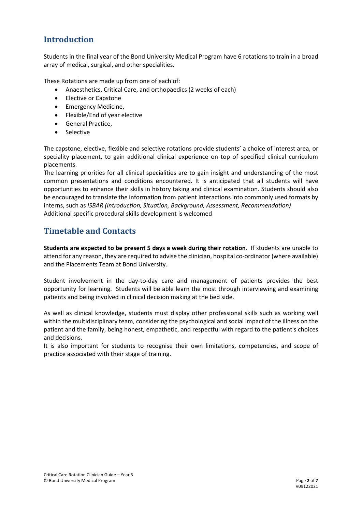## **Introduction**

Students in the final year of the Bond University Medical Program have 6 rotations to train in a broad array of medical, surgical, and other specialities.

These Rotations are made up from one of each of:

- Anaesthetics, Critical Care, and orthopaedics (2 weeks of each)
- Elective or Capstone
- Emergency Medicine,
- Flexible/End of year elective
- General Practice,
- Selective

The capstone, elective, flexible and selective rotations provide students' a choice of interest area, or speciality placement, to gain additional clinical experience on top of specified clinical curriculum placements.

The learning priorities for all clinical specialities are to gain insight and understanding of the most common presentations and conditions encountered. It is anticipated that all students will have opportunities to enhance their skills in history taking and clinical examination. Students should also be encouraged to translate the information from patient interactions into commonly used formats by interns, such as *ISBAR (Introduction, Situation, Background, Assessment, Recommendation)* Additional specific procedural skills development is welcomed

## **Timetable and Contacts**

**Students are expected to be present 5 days a week during their rotation**. If students are unable to attend for any reason, they are required to advise the clinician, hospital co-ordinator (where available) and the Placements Team at Bond University.

Student involvement in the day-to-day care and management of patients provides the best opportunity for learning. Students will be able learn the most through interviewing and examining patients and being involved in clinical decision making at the bed side.

As well as clinical knowledge, students must display other professional skills such as working well within the multidisciplinary team, considering the psychological and social impact of the illness on the patient and the family, being honest, empathetic, and respectful with regard to the patient's choices and decisions.

It is also important for students to recognise their own limitations, competencies, and scope of practice associated with their stage of training.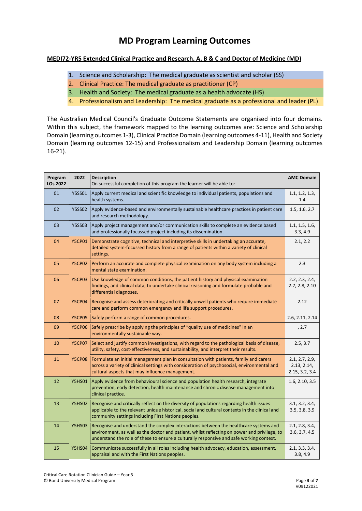# **MD Program Learning Outcomes**

#### **MEDI72-YR5 Extended Clinical Practice and Research, A, B & C and Doctor of Medicine (MD)**

- 1. Science and Scholarship: The medical graduate as scientist and scholar (SS)
- 2. Clinical Practice: The medical graduate as practitioner (CP)
- 3. Health and Society: The medical graduate as a health advocate (HS)
- 4. Professionalism and Leadership: The medical graduate as a professional and leader (PL)

The Australian Medical Council's Graduate Outcome Statements are organised into four domains. Within this subject, the framework mapped to the learning outcomes are: Science and Scholarship Domain (learning outcomes 1-3), Clinical Practice Domain (learning outcomes 4-11), Health and Society Domain (learning outcomes 12-15) and Professionalism and Leadership Domain (learning outcomes 16-21).

| Program<br>LOs 2022 | 2022          | <b>Description</b><br>On successful completion of this program the learner will be able to:                                                                                                                                                                                      | <b>AMC Domain</b>                               |
|---------------------|---------------|----------------------------------------------------------------------------------------------------------------------------------------------------------------------------------------------------------------------------------------------------------------------------------|-------------------------------------------------|
| 01                  | <b>Y5SS01</b> | Apply current medical and scientific knowledge to individual patients, populations and<br>health systems.                                                                                                                                                                        | 1.1, 1.2, 1.3,<br>1.4                           |
| 02                  | <b>Y5SS02</b> | Apply evidence-based and environmentally sustainable healthcare practices in patient care<br>and research methodology.                                                                                                                                                           | 1.5, 1.6, 2.7                                   |
| 03                  | <b>Y5SS03</b> | Apply project management and/or communication skills to complete an evidence based<br>and professionally focussed project including its dissemination.                                                                                                                           | 1.1, 1.5, 1.6,<br>3.3, 4.9                      |
| 04                  | <b>Y5CP01</b> | Demonstrate cognitive, technical and interpretive skills in undertaking an accurate,<br>detailed system-focussed history from a range of patients within a variety of clinical<br>settings.                                                                                      | 2.1, 2.2                                        |
| 05                  | <b>Y5CP02</b> | Perform an accurate and complete physical examination on any body system including a<br>mental state examination.                                                                                                                                                                | 2.3                                             |
| 06                  | <b>Y5CP03</b> | Use knowledge of common conditions, the patient history and physical examination<br>findings, and clinical data, to undertake clinical reasoning and formulate probable and<br>differential diagnoses.                                                                           | 2.2, 2.3, 2.4,<br>2.7, 2.8, 2.10                |
| 07                  | <b>Y5CP04</b> | Recognise and assess deteriorating and critically unwell patients who require immediate<br>care and perform common emergency and life support procedures.                                                                                                                        | 2.12                                            |
| 08                  | <b>Y5CP05</b> | Safely perform a range of common procedures.                                                                                                                                                                                                                                     | 2.6, 2.11, 2.14                                 |
| 09                  | <b>Y5CP06</b> | Safely prescribe by applying the principles of "quality use of medicines" in an<br>environmentally sustainable way.                                                                                                                                                              | , 2.7                                           |
| 10                  | <b>Y5CP07</b> | Select and justify common investigations, with regard to the pathological basis of disease,<br>utility, safety, cost-effectiveness, and sustainability, and interpret their results.                                                                                             | 2.5, 3.7                                        |
| 11                  | <b>Y5CP08</b> | Formulate an initial management plan in consultation with patients, family and carers<br>across a variety of clinical settings with consideration of psychosocial, environmental and<br>cultural aspects that may influence management.                                          | 2.1, 2.7, 2.9,<br>2.13, 2.14,<br>2.15, 3.2, 3.4 |
| 12                  | <b>Y5HS01</b> | Apply evidence from behavioural science and population health research, integrate<br>prevention, early detection, health maintenance and chronic disease management into<br>clinical practice.                                                                                   | 1.6, 2.10, 3.5                                  |
| 13                  | <b>Y5HS02</b> | Recognise and critically reflect on the diversity of populations regarding health issues<br>applicable to the relevant unique historical, social and cultural contexts in the clinical and<br>community settings including First Nations peoples.                                | 3.1, 3.2, 3.4,<br>3.5, 3.8, 3.9                 |
| 14                  | <b>Y5HS03</b> | Recognise and understand the complex interactions between the healthcare systems and<br>environment, as well as the doctor and patient, whilst reflecting on power and privilege, to<br>understand the role of these to ensure a culturally responsive and safe working context. | 2.1, 2.8, 3.4,<br>3.6, 3.7, 4.5                 |
| 15                  | <b>Y5HS04</b> | Communicate successfully in all roles including health advocacy, education, assessment,<br>appraisal and with the First Nations peoples.                                                                                                                                         | 2.1, 3.3, 3.4,<br>3.8, 4.9                      |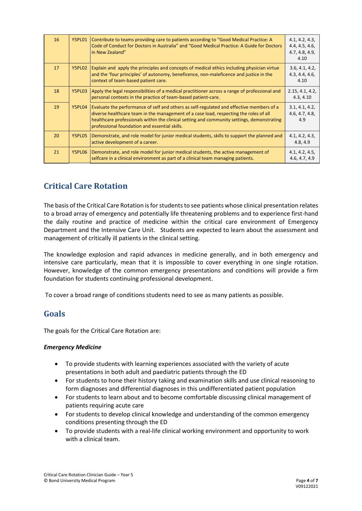| 16 | Y5PL01        | Contribute to teams providing care to patients according to "Good Medical Practice: A<br>Code of Conduct for Doctors in Australia" and "Good Medical Practice: A Guide for Doctors<br>in New Zealand"                                                                                                                            | 4.1, 4.2, 4.3,<br>4.4, 4.5, 4.6,<br>4.7, 4.8, 4.9,<br>4.10 |
|----|---------------|----------------------------------------------------------------------------------------------------------------------------------------------------------------------------------------------------------------------------------------------------------------------------------------------------------------------------------|------------------------------------------------------------|
| 17 | <b>Y5PL02</b> | Explain and apply the principles and concepts of medical ethics including physician virtue<br>and the 'four principles' of autonomy, beneficence, non-maleficence and justice in the<br>context of team-based patient care.                                                                                                      | 3.6, 4.1, 4.2,<br>4.3, 4.4, 4.6,<br>4.10                   |
| 18 | Y5PL03        | Apply the legal responsibilities of a medical practitioner across a range of professional and<br>personal contexts in the practice of team-based patient-care.                                                                                                                                                                   | 2.15, 4.1, 4.2,<br>4.3, 4.10                               |
| 19 | Y5PL04        | Evaluate the performance of self and others as self-regulated and effective members of a<br>diverse healthcare team in the management of a case load, respecting the roles of all<br>healthcare professionals within the clinical setting and community settings, demonstrating<br>professional foundation and essential skills. | 3.1, 4.1, 4.2,<br>4.6, 4.7, 4.8,<br>4.9                    |
| 20 | Y5PL05        | Demonstrate, and role model for junior medical students, skills to support the planned and<br>active development of a career.                                                                                                                                                                                                    | 4.1, 4.2, 4.3,<br>4.8, 4.9                                 |
| 21 | Y5PL06        | Demonstrate, and role model for junior medical students, the active management of<br>selfcare in a clinical environment as part of a clinical team managing patients.                                                                                                                                                            | 4.1, 4.2, 4.5,<br>4.6, 4.7, 4.9                            |

## **Critical Care Rotation**

The basis of the Critical Care Rotation is for students to see patients whose clinical presentation relates to a broad array of emergency and potentially life threatening problems and to experience first-hand the daily routine and practice of medicine within the critical care environment of Emergency Department and the Intensive Care Unit. Students are expected to learn about the assessment and management of critically ill patients in the clinical setting.

The knowledge explosion and rapid advances in medicine generally, and in both emergency and intensive care particularly, mean that it is impossible to cover everything in one single rotation. However, knowledge of the common emergency presentations and conditions will provide a firm foundation for students continuing professional development.

To cover a broad range of conditions students need to see as many patients as possible.

#### **Goals**

The goals for the Critical Care Rotation are:

#### *Emergency Medicine*

- To provide students with learning experiences associated with the variety of acute presentations in both adult and paediatric patients through the ED
- For students to hone their history taking and examination skills and use clinical reasoning to form diagnoses and differential diagnoses in this undifferentiated patient population
- For students to learn about and to become comfortable discussing clinical management of patients requiring acute care
- For students to develop clinical knowledge and understanding of the common emergency conditions presenting through the ED
- To provide students with a real-life clinical working environment and opportunity to work with a clinical team.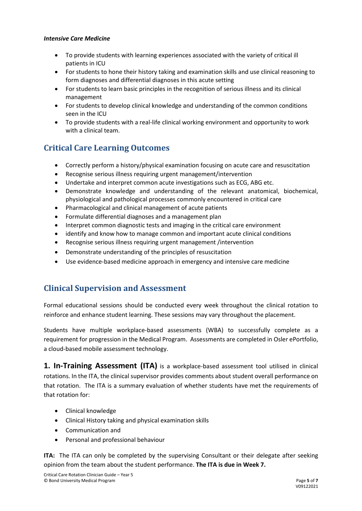#### *Intensive Care Medicine*

- To provide students with learning experiences associated with the variety of critical ill patients in ICU
- For students to hone their history taking and examination skills and use clinical reasoning to form diagnoses and differential diagnoses in this acute setting
- For students to learn basic principles in the recognition of serious illness and its clinical management
- For students to develop clinical knowledge and understanding of the common conditions seen in the ICU
- To provide students with a real-life clinical working environment and opportunity to work with a clinical team.

## **Critical Care Learning Outcomes**

- Correctly perform a history/physical examination focusing on acute care and resuscitation
- Recognise serious illness requiring urgent management/intervention
- Undertake and interpret common acute investigations such as ECG, ABG etc.
- Demonstrate knowledge and understanding of the relevant anatomical, biochemical, physiological and pathological processes commonly encountered in critical care
- Pharmacological and clinical management of acute patients
- Formulate differential diagnoses and a management plan
- Interpret common diagnostic tests and imaging in the critical care environment
- identify and know how to manage common and important acute clinical conditions
- Recognise serious illness requiring urgent management /intervention
- Demonstrate understanding of the principles of resuscitation
- Use evidence-based medicine approach in emergency and intensive care medicine

#### **Clinical Supervision and Assessment**

Formal educational sessions should be conducted every week throughout the clinical rotation to reinforce and enhance student learning. These sessions may vary throughout the placement.

Students have multiple workplace-based assessments (WBA) to successfully complete as a requirement for progression in the Medical Program. Assessments are completed in Osler ePortfolio, a cloud-based mobile assessment technology.

**1. In-Training Assessment (ITA)** is a workplace-based assessment tool utilised in clinical rotations. In the ITA, the clinical supervisor provides comments about student overall performance on that rotation. The ITA is a summary evaluation of whether students have met the requirements of that rotation for:

- Clinical knowledge
- Clinical History taking and physical examination skills
- Communication and
- Personal and professional behaviour

**ITA:** The ITA can only be completed by the supervising Consultant or their delegate after seeking opinion from the team about the student performance. **The ITA is due in Week 7.**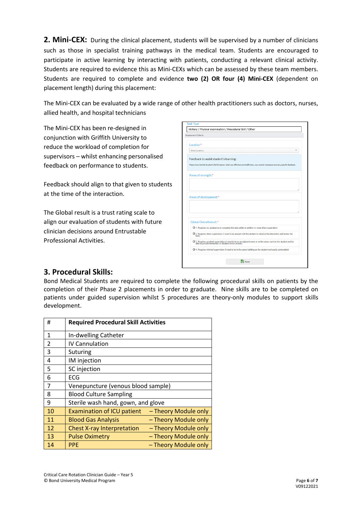2. Mini-CEX: During the clinical placement, students will be supervised by a number of clinicians such as those in specialist training pathways in the medical team. Students are encouraged to participate in active learning by interacting with patients, conducting a relevant clinical activity. Students are required to evidence this as Mini-CEXs which can be assessed by these team members. Students are required to complete and evidence **two (2) OR four (4) Mini-CEX** (dependent on placement length) during this placement:

The Mini-CEX can be evaluated by a wide range of other health practitioners such as doctors, nurses, allied health, and hospital technicians

The Mini-CEX has been re-designed in conjunction with Griffith University to reduce the workload of completion for supervisors – whilst enhancing personalised feedback on performance to students.

Feedback should align to that given to students at the time of the interaction.

The Global result is a trust rating scale to align our evaluation of students with future clinician decisions around Entrustable Professional Activities.

| History / Physical examination / Procedural Skill / Other |                                                                                                                                                                         |  |  |  |
|-----------------------------------------------------------|-------------------------------------------------------------------------------------------------------------------------------------------------------------------------|--|--|--|
| Assessment Criteria                                       |                                                                                                                                                                         |  |  |  |
|                                                           |                                                                                                                                                                         |  |  |  |
| I ocation*                                                |                                                                                                                                                                         |  |  |  |
| Select Location                                           |                                                                                                                                                                         |  |  |  |
| Feedback to assist student's learning:                    |                                                                                                                                                                         |  |  |  |
|                                                           | Please describe the Student's Performance: what was effective and ineffective, your overall impression and any specific feedback.                                       |  |  |  |
|                                                           |                                                                                                                                                                         |  |  |  |
| Areas of strength:*                                       |                                                                                                                                                                         |  |  |  |
|                                                           |                                                                                                                                                                         |  |  |  |
|                                                           |                                                                                                                                                                         |  |  |  |
|                                                           |                                                                                                                                                                         |  |  |  |
|                                                           |                                                                                                                                                                         |  |  |  |
|                                                           |                                                                                                                                                                         |  |  |  |
| Areas of development:*                                    |                                                                                                                                                                         |  |  |  |
|                                                           |                                                                                                                                                                         |  |  |  |
|                                                           |                                                                                                                                                                         |  |  |  |
|                                                           |                                                                                                                                                                         |  |  |  |
| Global Overall result:*                                   |                                                                                                                                                                         |  |  |  |
|                                                           | O 1. Requires my assistance to complete this task safely in addition to close direct supervision                                                                        |  |  |  |
| task)                                                     | O 2. Requires direct supervision (I need to be present with the student to observe the interaction and review the                                                       |  |  |  |
|                                                           | O 3. Requires proximal supervision (I need to be in an adjacent room or on the same ward as the student and be<br>able to provide immediate or detailed review of task) |  |  |  |
|                                                           | O 4. Requires minimal supervision (I need to be in the same building as the student and easily contactable)                                                             |  |  |  |
|                                                           |                                                                                                                                                                         |  |  |  |

#### **3. Procedural Skills:**

Bond Medical Students are required to complete the following procedural skills on patients by the completion of their Phase 2 placements in order to graduate. Nine skills are to be completed on patients under guided supervision whilst 5 procedures are theory-only modules to support skills development.

| #              | <b>Required Procedural Skill Activities</b> |                      |  |
|----------------|---------------------------------------------|----------------------|--|
| $\mathbf{1}$   | In-dwelling Catheter                        |                      |  |
| $\mathfrak{p}$ | IV Cannulation                              |                      |  |
| 3              | Suturing                                    |                      |  |
| 4              | IM injection                                |                      |  |
| 5              | SC injection                                |                      |  |
| 6              | ECG                                         |                      |  |
| 7              | Venepuncture (venous blood sample)          |                      |  |
| 8              | <b>Blood Culture Sampling</b>               |                      |  |
| 9              | Sterile wash hand, gown, and glove          |                      |  |
| 10             | <b>Examination of ICU patient</b>           | - Theory Module only |  |
| 11             | <b>Blood Gas Analysis</b>                   | - Theory Module only |  |
| 12             | <b>Chest X-ray Interpretation</b>           | - Theory Module only |  |
| 13             | <b>Pulse Oximetry</b>                       | - Theory Module only |  |
| 14             | <b>PPE</b>                                  | - Theory Module only |  |